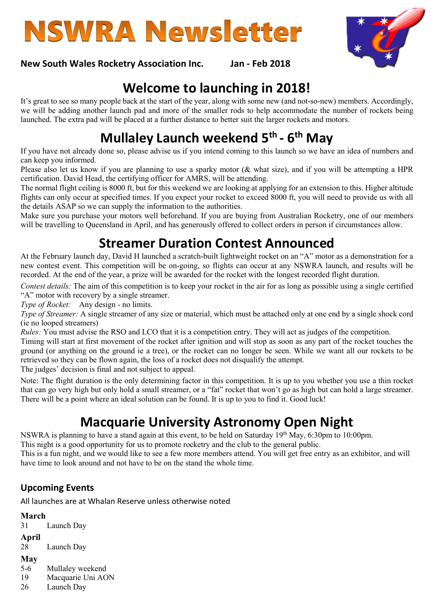

#### New South Wales Rocketry Association Inc. Jan - Feb 2018

# Welcome to launching in 2018!

It's great to see so many people back at the start of the year, along with some new (and not-so-new) members. Accordingly, we will be adding another launch pad and more of the smaller rods to help accommodate the number of rockets being launched. The extra pad will be placed at a further distance to better suit the larger rockets and motors.

# Mullaley Launch weekend 5<sup>th</sup> - 6<sup>th</sup> May

If you have not already done so, please advise us if you intend coming to this launch so we have an idea of numbers and can keep you informed.

Please also let us know if you are planning to use a sparky motor (& what size), and if you will be attempting a HPR certification. David Head, the certifying officer for AMRS, will be attending.

The normal flight ceiling is 8000 ft, but for this weekend we are looking at applying for an extension to this. Higher altitude flights can only occur at specified times. If you expect your rocket to exceed 8000 ft, you will need to provide us with all the details ASAP so we can supply the information to the authorities.

Make sure you purchase your motors well beforehand. If you are buying from Australian Rocketry, one of our members will be travelling to Queensland in April, and has generously offered to collect orders in person if circumstances allow.

## Streamer Duration Contest Announced

At the February launch day, David H launched a scratch-built lightweight rocket on an "A" motor as a demonstration for a new contest event. This competition will be on-going, so flights can occur at any NSWRA launch, and results will be recorded. At the end of the year, a prize will be awarded for the rocket with the longest recorded flight duration.

Contest details: The aim of this competition is to keep your rocket in the air for as long as possible using a single certified "A" motor with recovery by a single streamer.

Type of Rocket: Any design - no limits.

Type of Streamer: A single streamer of any size or material, which must be attached only at one end by a single shock cord (ie no looped streamers)

Rules: You must advise the RSO and LCO that it is a competition entry. They will act as judges of the competition.

Timing will start at first movement of the rocket after ignition and will stop as soon as any part of the rocket touches the ground (or anything on the ground ie a tree), or the rocket can no longer be seen. While we want all our rockets to be retrieved so they can be flown again, the loss of a rocket does not disqualify the attempt.

The judges' decision is final and not subject to appeal.

Note: The flight duration is the only determining factor in this competition. It is up to you whether you use a thin rocket that can go very high but only hold a small streamer, or a "fat" rocket that won't go as high but can hold a large streamer. There will be a point where an ideal solution can be found. It is up to you to find it. Good luck!

## Macquarie University Astronomy Open Night

NSWRA is planning to have a stand again at this event, to be held on Saturday 19th May, 6:30pm to 10:00pm.

This night is a good opportunity for us to promote rocketry and the club to the general public.

This is a fun night, and we would like to see a few more members attend. You will get free entry as an exhibitor, and will have time to look around and not have to be on the stand the whole time.

#### Upcoming Events

All launches are at Whalan Reserve unless otherwise noted

- March
- 31 Launch Day
- April 28 Launch Day
- 
- May
- 5-6 Mullaley weekend
- 19 Macquarie Uni AON
- 26 Launch Day